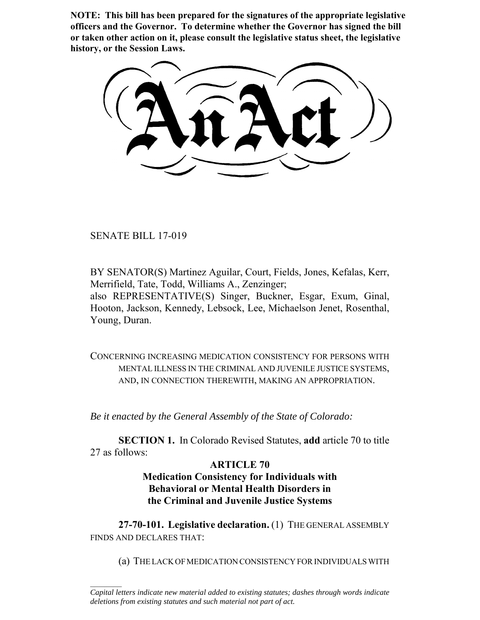**NOTE: This bill has been prepared for the signatures of the appropriate legislative officers and the Governor. To determine whether the Governor has signed the bill or taken other action on it, please consult the legislative status sheet, the legislative history, or the Session Laws.**

SENATE BILL 17-019

 $\frac{1}{2}$ 

BY SENATOR(S) Martinez Aguilar, Court, Fields, Jones, Kefalas, Kerr, Merrifield, Tate, Todd, Williams A., Zenzinger;

also REPRESENTATIVE(S) Singer, Buckner, Esgar, Exum, Ginal, Hooton, Jackson, Kennedy, Lebsock, Lee, Michaelson Jenet, Rosenthal, Young, Duran.

CONCERNING INCREASING MEDICATION CONSISTENCY FOR PERSONS WITH MENTAL ILLNESS IN THE CRIMINAL AND JUVENILE JUSTICE SYSTEMS, AND, IN CONNECTION THEREWITH, MAKING AN APPROPRIATION.

*Be it enacted by the General Assembly of the State of Colorado:*

**SECTION 1.** In Colorado Revised Statutes, **add** article 70 to title 27 as follows:

## **ARTICLE 70**

# **Medication Consistency for Individuals with Behavioral or Mental Health Disorders in the Criminal and Juvenile Justice Systems**

**27-70-101. Legislative declaration.** (1) THE GENERAL ASSEMBLY FINDS AND DECLARES THAT:

(a) THE LACK OF MEDICATION CONSISTENCY FOR INDIVIDUALS WITH

*Capital letters indicate new material added to existing statutes; dashes through words indicate deletions from existing statutes and such material not part of act.*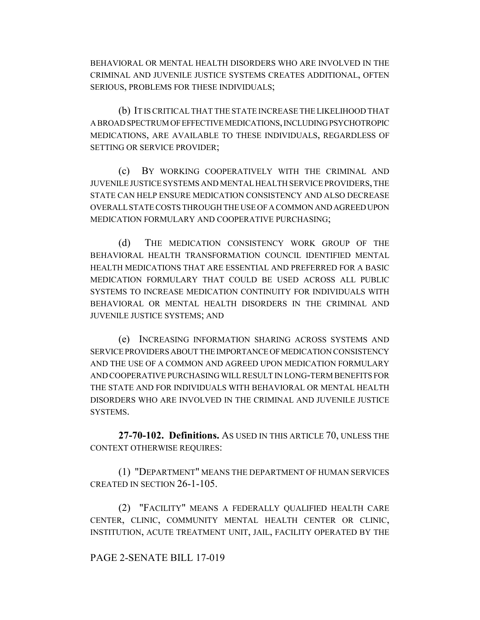BEHAVIORAL OR MENTAL HEALTH DISORDERS WHO ARE INVOLVED IN THE CRIMINAL AND JUVENILE JUSTICE SYSTEMS CREATES ADDITIONAL, OFTEN SERIOUS, PROBLEMS FOR THESE INDIVIDUALS;

(b) IT IS CRITICAL THAT THE STATE INCREASE THE LIKELIHOOD THAT A BROAD SPECTRUM OF EFFECTIVE MEDICATIONS, INCLUDING PSYCHOTROPIC MEDICATIONS, ARE AVAILABLE TO THESE INDIVIDUALS, REGARDLESS OF SETTING OR SERVICE PROVIDER;

(c) BY WORKING COOPERATIVELY WITH THE CRIMINAL AND JUVENILE JUSTICE SYSTEMS AND MENTAL HEALTH SERVICE PROVIDERS, THE STATE CAN HELP ENSURE MEDICATION CONSISTENCY AND ALSO DECREASE OVERALL STATE COSTS THROUGH THE USE OF A COMMON AND AGREED UPON MEDICATION FORMULARY AND COOPERATIVE PURCHASING;

(d) THE MEDICATION CONSISTENCY WORK GROUP OF THE BEHAVIORAL HEALTH TRANSFORMATION COUNCIL IDENTIFIED MENTAL HEALTH MEDICATIONS THAT ARE ESSENTIAL AND PREFERRED FOR A BASIC MEDICATION FORMULARY THAT COULD BE USED ACROSS ALL PUBLIC SYSTEMS TO INCREASE MEDICATION CONTINUITY FOR INDIVIDUALS WITH BEHAVIORAL OR MENTAL HEALTH DISORDERS IN THE CRIMINAL AND JUVENILE JUSTICE SYSTEMS; AND

(e) INCREASING INFORMATION SHARING ACROSS SYSTEMS AND SERVICE PROVIDERS ABOUT THE IMPORTANCE OF MEDICATION CONSISTENCY AND THE USE OF A COMMON AND AGREED UPON MEDICATION FORMULARY AND COOPERATIVE PURCHASING WILL RESULT IN LONG-TERM BENEFITS FOR THE STATE AND FOR INDIVIDUALS WITH BEHAVIORAL OR MENTAL HEALTH DISORDERS WHO ARE INVOLVED IN THE CRIMINAL AND JUVENILE JUSTICE SYSTEMS.

**27-70-102. Definitions.** AS USED IN THIS ARTICLE 70, UNLESS THE CONTEXT OTHERWISE REQUIRES:

(1) "DEPARTMENT" MEANS THE DEPARTMENT OF HUMAN SERVICES CREATED IN SECTION 26-1-105.

(2) "FACILITY" MEANS A FEDERALLY QUALIFIED HEALTH CARE CENTER, CLINIC, COMMUNITY MENTAL HEALTH CENTER OR CLINIC, INSTITUTION, ACUTE TREATMENT UNIT, JAIL, FACILITY OPERATED BY THE

### PAGE 2-SENATE BILL 17-019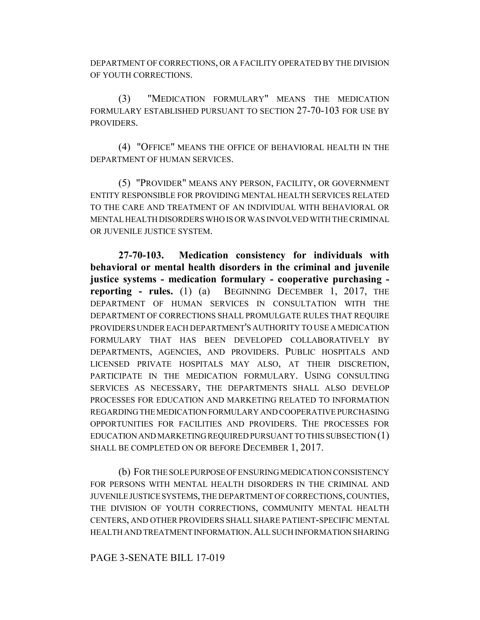DEPARTMENT OF CORRECTIONS, OR A FACILITY OPERATED BY THE DIVISION OF YOUTH CORRECTIONS.

(3) "MEDICATION FORMULARY" MEANS THE MEDICATION FORMULARY ESTABLISHED PURSUANT TO SECTION 27-70-103 FOR USE BY PROVIDERS.

(4) "OFFICE" MEANS THE OFFICE OF BEHAVIORAL HEALTH IN THE DEPARTMENT OF HUMAN SERVICES.

(5) "PROVIDER" MEANS ANY PERSON, FACILITY, OR GOVERNMENT ENTITY RESPONSIBLE FOR PROVIDING MENTAL HEALTH SERVICES RELATED TO THE CARE AND TREATMENT OF AN INDIVIDUAL WITH BEHAVIORAL OR MENTAL HEALTH DISORDERS WHO IS OR WAS INVOLVED WITH THE CRIMINAL OR JUVENILE JUSTICE SYSTEM.

**27-70-103. Medication consistency for individuals with behavioral or mental health disorders in the criminal and juvenile justice systems - medication formulary - cooperative purchasing reporting - rules.** (1) (a) BEGINNING DECEMBER 1, 2017, THE DEPARTMENT OF HUMAN SERVICES IN CONSULTATION WITH THE DEPARTMENT OF CORRECTIONS SHALL PROMULGATE RULES THAT REQUIRE PROVIDERS UNDER EACH DEPARTMENT'S AUTHORITY TO USE A MEDICATION FORMULARY THAT HAS BEEN DEVELOPED COLLABORATIVELY BY DEPARTMENTS, AGENCIES, AND PROVIDERS. PUBLIC HOSPITALS AND LICENSED PRIVATE HOSPITALS MAY ALSO, AT THEIR DISCRETION, PARTICIPATE IN THE MEDICATION FORMULARY. USING CONSULTING SERVICES AS NECESSARY, THE DEPARTMENTS SHALL ALSO DEVELOP PROCESSES FOR EDUCATION AND MARKETING RELATED TO INFORMATION REGARDING THE MEDICATION FORMULARY AND COOPERATIVE PURCHASING OPPORTUNITIES FOR FACILITIES AND PROVIDERS. THE PROCESSES FOR EDUCATION AND MARKETING REQUIRED PURSUANT TO THIS SUBSECTION (1) SHALL BE COMPLETED ON OR BEFORE DECEMBER 1, 2017.

(b) FOR THE SOLE PURPOSE OF ENSURING MEDICATION CONSISTENCY FOR PERSONS WITH MENTAL HEALTH DISORDERS IN THE CRIMINAL AND JUVENILE JUSTICE SYSTEMS, THE DEPARTMENT OF CORRECTIONS, COUNTIES, THE DIVISION OF YOUTH CORRECTIONS, COMMUNITY MENTAL HEALTH CENTERS, AND OTHER PROVIDERS SHALL SHARE PATIENT-SPECIFIC MENTAL HEALTH AND TREATMENT INFORMATION.ALL SUCH INFORMATION SHARING

### PAGE 3-SENATE BILL 17-019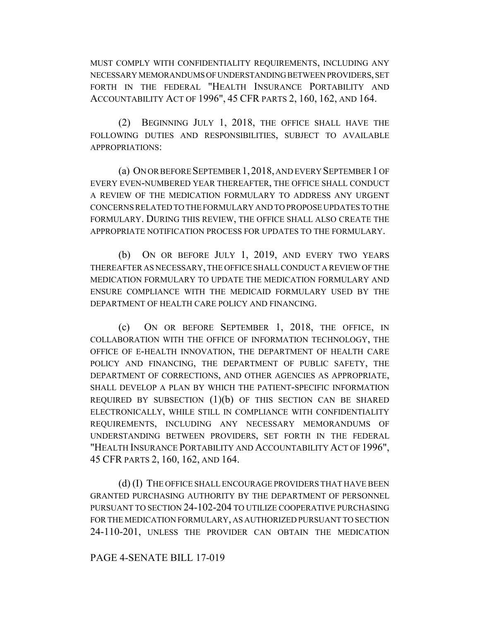MUST COMPLY WITH CONFIDENTIALITY REQUIREMENTS, INCLUDING ANY NECESSARY MEMORANDUMS OF UNDERSTANDING BETWEEN PROVIDERS, SET FORTH IN THE FEDERAL "HEALTH INSURANCE PORTABILITY AND ACCOUNTABILITY ACT OF 1996", 45 CFR PARTS 2, 160, 162, AND 164.

(2) BEGINNING JULY 1, 2018, THE OFFICE SHALL HAVE THE FOLLOWING DUTIES AND RESPONSIBILITIES, SUBJECT TO AVAILABLE APPROPRIATIONS:

(a) ON OR BEFORE SEPTEMBER 1,2018, AND EVERY SEPTEMBER 1 OF EVERY EVEN-NUMBERED YEAR THEREAFTER, THE OFFICE SHALL CONDUCT A REVIEW OF THE MEDICATION FORMULARY TO ADDRESS ANY URGENT CONCERNS RELATED TO THE FORMULARY AND TO PROPOSE UPDATES TO THE FORMULARY. DURING THIS REVIEW, THE OFFICE SHALL ALSO CREATE THE APPROPRIATE NOTIFICATION PROCESS FOR UPDATES TO THE FORMULARY.

(b) ON OR BEFORE JULY 1, 2019, AND EVERY TWO YEARS THEREAFTER AS NECESSARY, THE OFFICE SHALL CONDUCT A REVIEW OF THE MEDICATION FORMULARY TO UPDATE THE MEDICATION FORMULARY AND ENSURE COMPLIANCE WITH THE MEDICAID FORMULARY USED BY THE DEPARTMENT OF HEALTH CARE POLICY AND FINANCING.

(c) ON OR BEFORE SEPTEMBER 1, 2018, THE OFFICE, IN COLLABORATION WITH THE OFFICE OF INFORMATION TECHNOLOGY, THE OFFICE OF E-HEALTH INNOVATION, THE DEPARTMENT OF HEALTH CARE POLICY AND FINANCING, THE DEPARTMENT OF PUBLIC SAFETY, THE DEPARTMENT OF CORRECTIONS, AND OTHER AGENCIES AS APPROPRIATE, SHALL DEVELOP A PLAN BY WHICH THE PATIENT-SPECIFIC INFORMATION REQUIRED BY SUBSECTION  $(1)(b)$  OF THIS SECTION CAN BE SHARED ELECTRONICALLY, WHILE STILL IN COMPLIANCE WITH CONFIDENTIALITY REQUIREMENTS, INCLUDING ANY NECESSARY MEMORANDUMS OF UNDERSTANDING BETWEEN PROVIDERS, SET FORTH IN THE FEDERAL "HEALTH INSURANCE PORTABILITY AND ACCOUNTABILITY ACT OF 1996", 45 CFR PARTS 2, 160, 162, AND 164.

(d) (I) THE OFFICE SHALL ENCOURAGE PROVIDERS THAT HAVE BEEN GRANTED PURCHASING AUTHORITY BY THE DEPARTMENT OF PERSONNEL PURSUANT TO SECTION 24-102-204 TO UTILIZE COOPERATIVE PURCHASING FOR THE MEDICATION FORMULARY, AS AUTHORIZED PURSUANT TO SECTION 24-110-201, UNLESS THE PROVIDER CAN OBTAIN THE MEDICATION

#### PAGE 4-SENATE BILL 17-019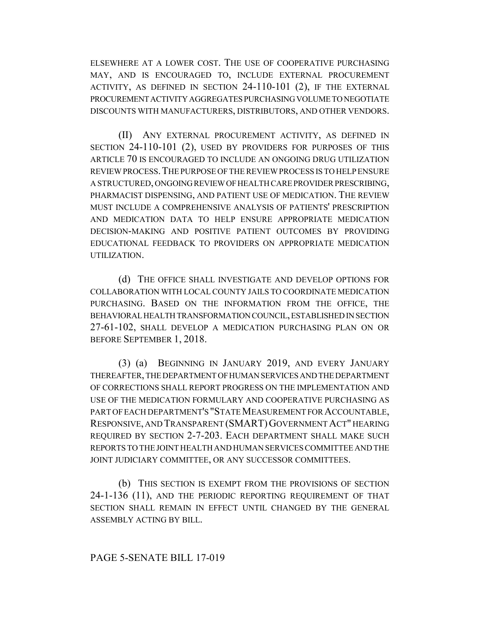ELSEWHERE AT A LOWER COST. THE USE OF COOPERATIVE PURCHASING MAY, AND IS ENCOURAGED TO, INCLUDE EXTERNAL PROCUREMENT ACTIVITY, AS DEFINED IN SECTION 24-110-101 (2), IF THE EXTERNAL PROCUREMENT ACTIVITY AGGREGATES PURCHASING VOLUME TO NEGOTIATE DISCOUNTS WITH MANUFACTURERS, DISTRIBUTORS, AND OTHER VENDORS.

(II) ANY EXTERNAL PROCUREMENT ACTIVITY, AS DEFINED IN SECTION 24-110-101 (2), USED BY PROVIDERS FOR PURPOSES OF THIS ARTICLE 70 IS ENCOURAGED TO INCLUDE AN ONGOING DRUG UTILIZATION REVIEW PROCESS.THE PURPOSE OF THE REVIEW PROCESS IS TO HELP ENSURE A STRUCTURED, ONGOING REVIEW OF HEALTH CARE PROVIDER PRESCRIBING, PHARMACIST DISPENSING, AND PATIENT USE OF MEDICATION. THE REVIEW MUST INCLUDE A COMPREHENSIVE ANALYSIS OF PATIENTS' PRESCRIPTION AND MEDICATION DATA TO HELP ENSURE APPROPRIATE MEDICATION DECISION-MAKING AND POSITIVE PATIENT OUTCOMES BY PROVIDING EDUCATIONAL FEEDBACK TO PROVIDERS ON APPROPRIATE MEDICATION UTILIZATION.

(d) THE OFFICE SHALL INVESTIGATE AND DEVELOP OPTIONS FOR COLLABORATION WITH LOCAL COUNTY JAILS TO COORDINATE MEDICATION PURCHASING. BASED ON THE INFORMATION FROM THE OFFICE, THE BEHAVIORAL HEALTH TRANSFORMATION COUNCIL, ESTABLISHED IN SECTION 27-61-102, SHALL DEVELOP A MEDICATION PURCHASING PLAN ON OR BEFORE SEPTEMBER 1, 2018.

(3) (a) BEGINNING IN JANUARY 2019, AND EVERY JANUARY THEREAFTER, THE DEPARTMENT OF HUMAN SERVICES AND THE DEPARTMENT OF CORRECTIONS SHALL REPORT PROGRESS ON THE IMPLEMENTATION AND USE OF THE MEDICATION FORMULARY AND COOPERATIVE PURCHASING AS PART OF EACH DEPARTMENT'S "STATE MEASUREMENT FOR ACCOUNTABLE, RESPONSIVE, AND TRANSPARENT (SMART)GOVERNMENT ACT" HEARING REQUIRED BY SECTION 2-7-203. EACH DEPARTMENT SHALL MAKE SUCH REPORTS TO THE JOINT HEALTH AND HUMAN SERVICES COMMITTEE AND THE JOINT JUDICIARY COMMITTEE, OR ANY SUCCESSOR COMMITTEES.

(b) THIS SECTION IS EXEMPT FROM THE PROVISIONS OF SECTION 24-1-136 (11), AND THE PERIODIC REPORTING REQUIREMENT OF THAT SECTION SHALL REMAIN IN EFFECT UNTIL CHANGED BY THE GENERAL ASSEMBLY ACTING BY BILL.

### PAGE 5-SENATE BILL 17-019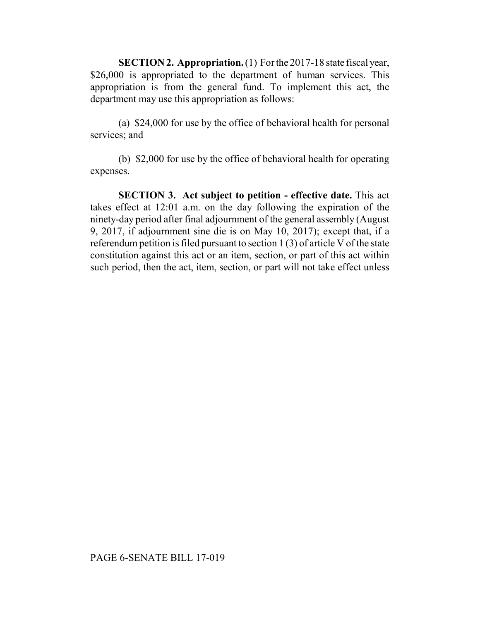**SECTION 2. Appropriation.** (1) For the 2017-18 state fiscal year, \$26,000 is appropriated to the department of human services. This appropriation is from the general fund. To implement this act, the department may use this appropriation as follows:

(a) \$24,000 for use by the office of behavioral health for personal services; and

(b) \$2,000 for use by the office of behavioral health for operating expenses.

**SECTION 3. Act subject to petition - effective date.** This act takes effect at 12:01 a.m. on the day following the expiration of the ninety-day period after final adjournment of the general assembly (August 9, 2017, if adjournment sine die is on May 10, 2017); except that, if a referendum petition is filed pursuant to section 1 (3) of article V of the state constitution against this act or an item, section, or part of this act within such period, then the act, item, section, or part will not take effect unless